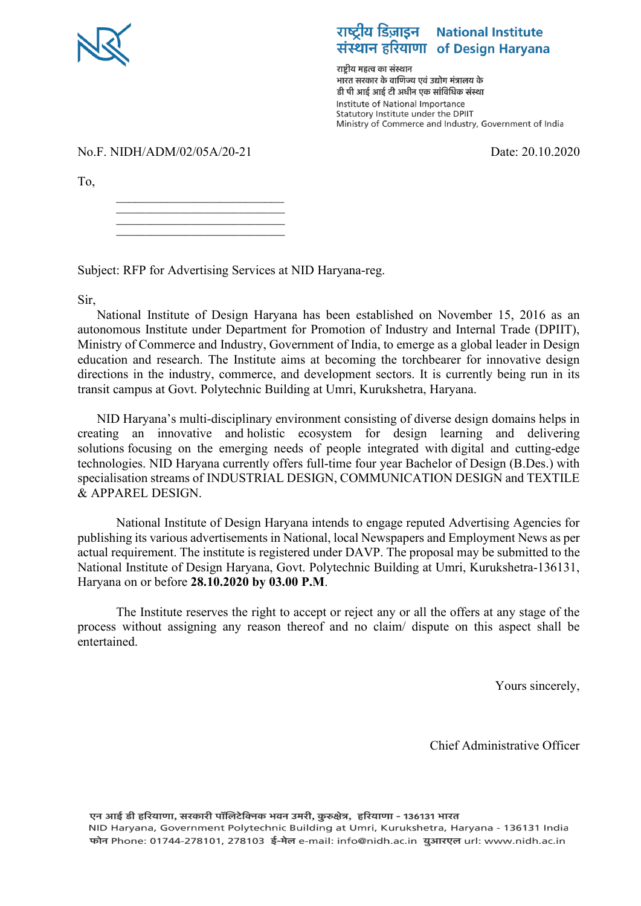

# राष्ट्रीय डिज़ाइन National Institute संस्थान हरियाणा of Design Haryana

राष्टीय महत्व का संस्थान ्<br>भारत सरकार के वाणिज्य एवं उद्योग मंत्रालय के डी पी आई आई टी अधीन एक सांविधिक संस्था Institute of National Importance Statutory Institute under the DPIIT Ministry of Commerce and Industry, Government of India

No.F. NIDH/ADM/02/05A/20-21 Date: 20.10.2020

To,

\_\_\_\_\_\_\_\_\_\_\_\_\_\_\_\_\_\_\_\_\_\_\_\_\_\_ \_\_\_\_\_\_\_\_\_\_\_\_\_\_\_\_\_\_\_\_\_\_\_\_\_\_\_\_\_ \_\_\_\_\_\_\_\_\_\_\_\_\_\_\_\_\_\_\_\_\_\_\_\_\_\_\_\_\_ \_\_\_\_\_\_\_\_\_\_\_\_\_\_\_\_\_\_\_\_\_\_\_\_\_\_\_\_\_

Subject: RFP for Advertising Services at NID Haryana-reg.

Sir,

National Institute of Design Haryana has been established on November 15, 2016 as an autonomous Institute under Department for Promotion of Industry and Internal Trade (DPIIT), Ministry of Commerce and Industry, Government of India, to emerge as a global leader in Design education and research. The Institute aims at becoming the torchbearer for innovative design directions in the industry, commerce, and development sectors. It is currently being run in its transit campus at Govt. Polytechnic Building at Umri, Kurukshetra, Haryana.

NID Haryana's multi-disciplinary environment consisting of diverse design domains helps in creating an innovative and holistic ecosystem for design learning and delivering solutions focusing on the emerging needs of people integrated with digital and cutting-edge technologies. NID Haryana currently offers full-time four year Bachelor of Design (B.Des.) with specialisation streams of INDUSTRIAL DESIGN, COMMUNICATION DESIGN and TEXTILE & APPAREL DESIGN.

National Institute of Design Haryana intends to engage reputed Advertising Agencies for publishing its various advertisements in National, local Newspapers and Employment News as per actual requirement. The institute is registered under DAVP. The proposal may be submitted to the National Institute of Design Haryana, Govt. Polytechnic Building at Umri, Kurukshetra-136131, Haryana on or before **28.10.2020 by 03.00 P.M**.

The Institute reserves the right to accept or reject any or all the offers at any stage of the process without assigning any reason thereof and no claim/ dispute on this aspect shall be entertained.

Yours sincerely,

Chief Administrative Officer

एन आई डी हरियाणा, सरकारी पॉलिटेक्निक भवन उमरी, कुरुक्षेत्र, हरियाणा - 136131 भारत NID Haryana, Government Polytechnic Building at Umri, Kurukshetra, Haryana - 136131 India फोन Phone: 01744-278101, 278103 ई-मेल e-mail: info@nidh.ac.in युआरएल url: www.nidh.ac.in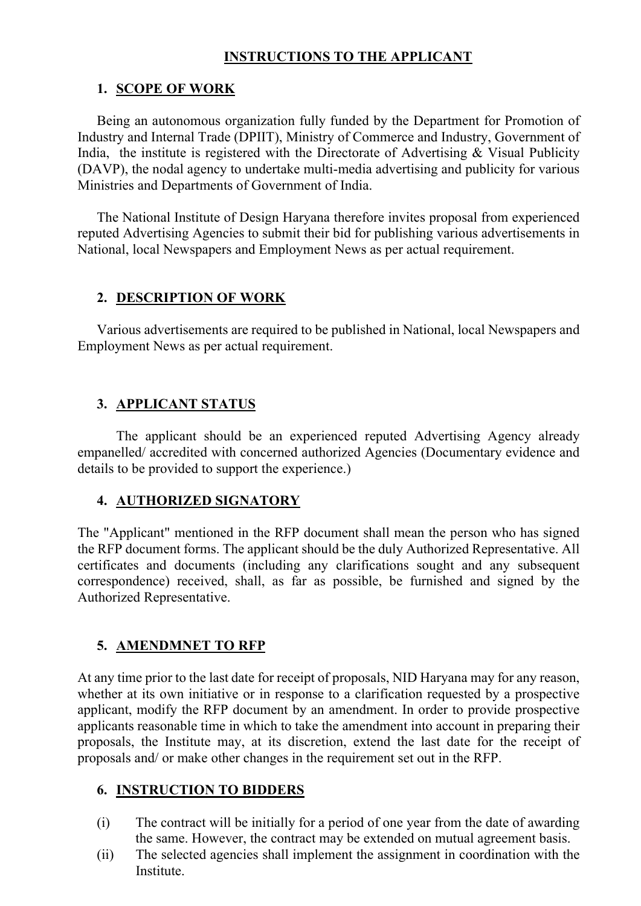#### **INSTRUCTIONS TO THE APPLICANT**

#### **1. SCOPE OF WORK**

Being an autonomous organization fully funded by the Department for Promotion of Industry and Internal Trade (DPIIT), Ministry of Commerce and Industry, Government of India, the institute is registered with the Directorate of Advertising & Visual Publicity (DAVP), the nodal agency to undertake multi-media advertising and publicity for various Ministries and Departments of Government of India.

The National Institute of Design Haryana therefore invites proposal from experienced reputed Advertising Agencies to submit their bid for publishing various advertisements in National, local Newspapers and Employment News as per actual requirement.

## **2. DESCRIPTION OF WORK**

Various advertisements are required to be published in National, local Newspapers and Employment News as per actual requirement.

## **3. APPLICANT STATUS**

The applicant should be an experienced reputed Advertising Agency already empanelled/ accredited with concerned authorized Agencies (Documentary evidence and details to be provided to support the experience.)

## **4. AUTHORIZED SIGNATORY**

The "Applicant" mentioned in the RFP document shall mean the person who has signed the RFP document forms. The applicant should be the duly Authorized Representative. All certificates and documents (including any clarifications sought and any subsequent correspondence) received, shall, as far as possible, be furnished and signed by the Authorized Representative.

## **5. AMENDMNET TO RFP**

At any time prior to the last date for receipt of proposals, NID Haryana may for any reason, whether at its own initiative or in response to a clarification requested by a prospective applicant, modify the RFP document by an amendment. In order to provide prospective applicants reasonable time in which to take the amendment into account in preparing their proposals, the Institute may, at its discretion, extend the last date for the receipt of proposals and/ or make other changes in the requirement set out in the RFP.

#### **6. INSTRUCTION TO BIDDERS**

- (i) The contract will be initially for a period of one year from the date of awarding the same. However, the contract may be extended on mutual agreement basis.
- (ii) The selected agencies shall implement the assignment in coordination with the **Institute**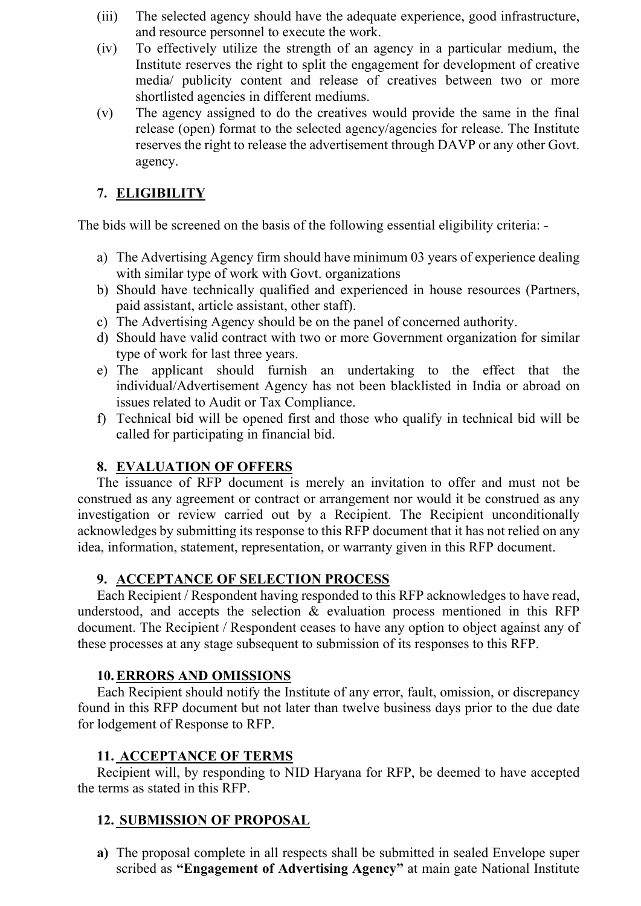- (iii) The selected agency should have the adequate experience, good infrastructure, and resource personnel to execute the work.
- (iv) To effectively utilize the strength of an agency in a particular medium, the Institute reserves the right to split the engagement for development of creative media/ publicity content and release of creatives between two or more shortlisted agencies in different mediums.
- (v) The agency assigned to do the creatives would provide the same in the final release (open) format to the selected agency/agencies for release. The Institute reserves the right to release the advertisement through DAVP or any other Govt. agency.

# **7. ELIGIBILITY**

The bids will be screened on the basis of the following essential eligibility criteria: -

- a) The Advertising Agency firm should have minimum 03 years of experience dealing with similar type of work with Govt. organizations
- b) Should have technically qualified and experienced in house resources (Partners, paid assistant, article assistant, other staff).
- c) The Advertising Agency should be on the panel of concerned authority.
- d) Should have valid contract with two or more Government organization for similar type of work for last three years.
- e) 3The applicant should furnish an undertaking to the effect that the individual/Advertisement Agency has not been blacklisted in India or abroad on issues related to Audit or Tax Compliance.
- f) Technical bid will be opened first and those who qualify in technical bid will be called for participating in financial bid.

# **8. EVALUATION OF OFFERS**

The issuance of RFP document is merely an invitation to offer and must not be construed as any agreement or contract or arrangement nor would it be construed as any investigation or review carried out by a Recipient. The Recipient unconditionally acknowledges by submitting its response to this RFP document that it has not relied on any idea, information, statement, representation, or warranty given in this RFP document.

## **9. ACCEPTANCE OF SELECTION PROCESS**

Each Recipient / Respondent having responded to this RFP acknowledges to have read, understood, and accepts the selection  $\&$  evaluation process mentioned in this RFP document. The Recipient / Respondent ceases to have any option to object against any of these processes at any stage subsequent to submission of its responses to this RFP.

## **10.ERRORS AND OMISSIONS**

Each Recipient should notify the Institute of any error, fault, omission, or discrepancy found in this RFP document but not later than twelve business days prior to the due date for lodgement of Response to RFP.

## **11. ACCEPTANCE OF TERMS**

Recipient will, by responding to NID Haryana for RFP, be deemed to have accepted the terms as stated in this RFP.

# **12. SUBMISSION OF PROPOSAL**

**a)** The proposal complete in all respects shall be submitted in sealed Envelope super scribed as **"Engagement of Advertising Agency"** at main gate National Institute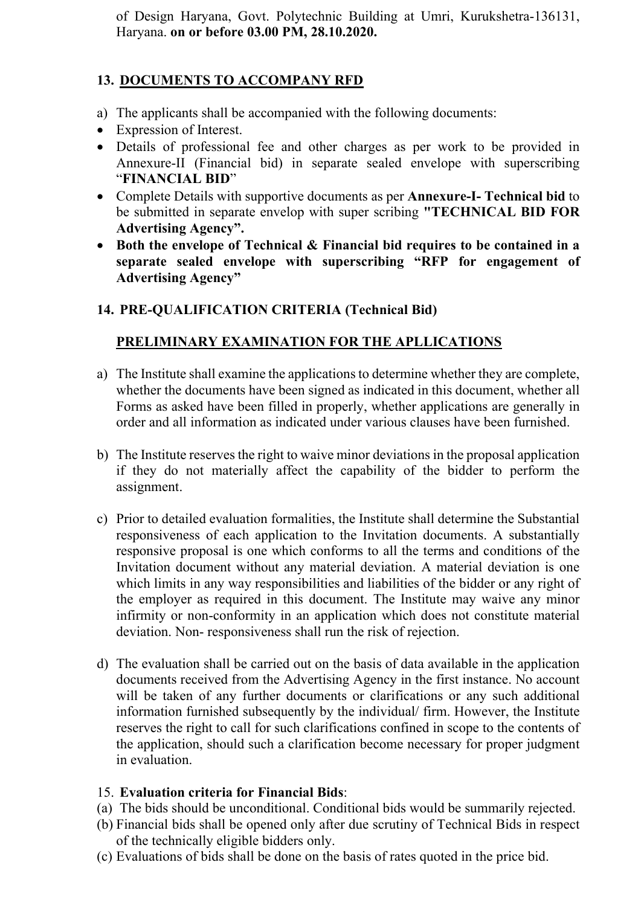of Design Haryana, Govt. Polytechnic Building at Umri, Kurukshetra-136131, Haryana. **on or before 03.00 PM, 28.10.2020.**

## **13. DOCUMENTS TO ACCOMPANY RFD**

- a) The applicants shall be accompanied with the following documents:
- Expression of Interest.
- Details of professional fee and other charges as per work to be provided in Annexure-II (Financial bid) in separate sealed envelope with superscribing "**FINANCIAL BID**"
- Complete Details with supportive documents as per **Annexure-I- Technical bid** to be submitted in separate envelop with super scribing **"TECHNICAL BID FOR Advertising Agency".**
- **Both the envelope of Technical & Financial bid requires to be contained in a separate sealed envelope with superscribing "RFP for engagement of Advertising Agency"**

## **14. PRE-QUALIFICATION CRITERIA (Technical Bid)**

## **PRELIMINARY EXAMINATION FOR THE APLLICATIONS**

- a) The Institute shall examine the applications to determine whether they are complete, whether the documents have been signed as indicated in this document, whether all Forms as asked have been filled in properly, whether applications are generally in order and all information as indicated under various clauses have been furnished.
- b) The Institute reserves the right to waive minor deviations in the proposal application if they do not materially affect the capability of the bidder to perform the assignment.
- c) Prior to detailed evaluation formalities, the Institute shall determine the Substantial responsiveness of each application to the Invitation documents. A substantially responsive proposal is one which conforms to all the terms and conditions of the Invitation document without any material deviation. A material deviation is one which limits in any way responsibilities and liabilities of the bidder or any right of the employer as required in this document. The Institute may waive any minor infirmity or non-conformity in an application which does not constitute material deviation. Non- responsiveness shall run the risk of rejection.
- d) The evaluation shall be carried out on the basis of data available in the application documents received from the Advertising Agency in the first instance. No account will be taken of any further documents or clarifications or any such additional information furnished subsequently by the individual/ firm. However, the Institute reserves the right to call for such clarifications confined in scope to the contents of the application, should such a clarification become necessary for proper judgment in evaluation.

#### 15. **Evaluation criteria for Financial Bids**:

- (a) The bids should be unconditional. Conditional bids would be summarily rejected.
- (b) Financial bids shall be opened only after due scrutiny of Technical Bids in respect of the technically eligible bidders only.
- (c) Evaluations of bids shall be done on the basis of rates quoted in the price bid.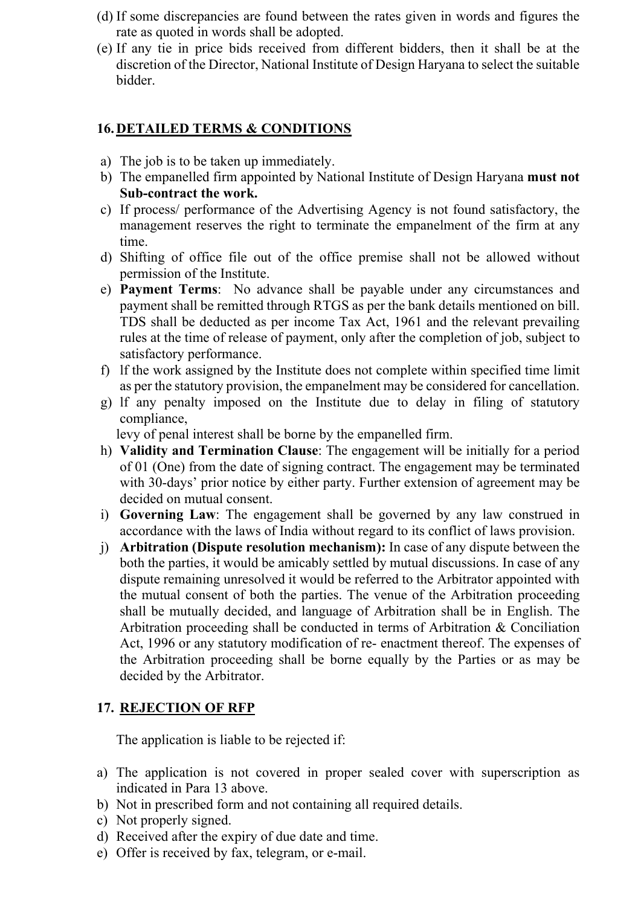- (d) If some discrepancies are found between the rates given in words and figures the rate as quoted in words shall be adopted.
- (e) If any tie in price bids received from different bidders, then it shall be at the discretion of the Director, National Institute of Design Haryana to select the suitable bidder.

#### **16.DETAILED TERMS & CONDITIONS**

- a) The job is to be taken up immediately.
- b) The empanelled firm appointed by National Institute of Design Haryana **must not Sub-contract the work.**
- c) If process/ performance of the Advertising Agency is not found satisfactory, the management reserves the right to terminate the empanelment of the firm at any time.
- d) Shifting of office file out of the office premise shall not be allowed without permission of the Institute.
- e) **Payment Terms**: No advance shall be payable under any circumstances and payment shall be remitted through RTGS as per the bank details mentioned on bill. TDS shall be deducted as per income Tax Act, 1961 and the relevant prevailing rules at the time of release of payment, only after the completion of job, subject to satisfactory performance.
- f) lf the work assigned by the Institute does not complete within specified time limit as per the statutory provision, the empanelment may be considered for cancellation.
- g) lf any penalty imposed on the Institute due to delay in filing of statutory compliance,

levy of penal interest shall be borne by the empanelled firm.

- h) **Validity and Termination Clause**: The engagement will be initially for a period of 01 (One) from the date of signing contract. The engagement may be terminated with 30-days' prior notice by either party. Further extension of agreement may be decided on mutual consent.
- i) **Governing Law**: The engagement shall be governed by any law construed in accordance with the laws of India without regard to its conflict of laws provision.
- j) **Arbitration (Dispute resolution mechanism):** In case of any dispute between the both the parties, it would be amicably settled by mutual discussions. In case of any dispute remaining unresolved it would be referred to the Arbitrator appointed with the mutual consent of both the parties. The venue of the Arbitration proceeding shall be mutually decided, and language of Arbitration shall be in English. The Arbitration proceeding shall be conducted in terms of Arbitration & Conciliation Act, 1996 or any statutory modification of re- enactment thereof. The expenses of the Arbitration proceeding shall be borne equally by the Parties or as may be decided by the Arbitrator.

## **17. REJECTION OF RFP**

The application is liable to be rejected if:

- a) The application is not covered in proper sealed cover with superscription as indicated in Para 13 above.
- b) Not in prescribed form and not containing all required details.
- c) Not properly signed.
- d) Received after the expiry of due date and time.
- e) Offer is received by fax, telegram, or e-mail.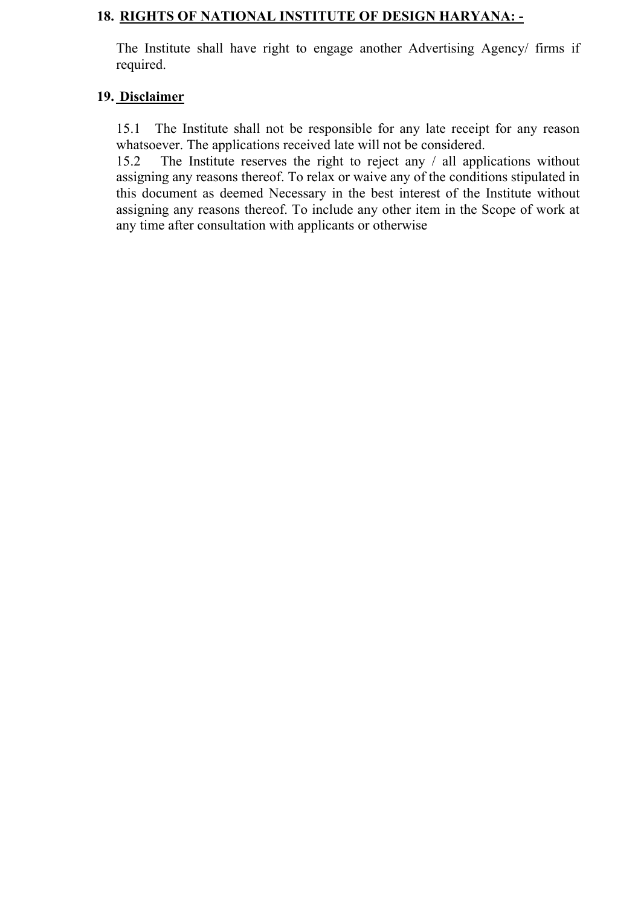#### **18. RIGHTS OF NATIONAL INSTITUTE OF DESIGN HARYANA: -**

The Institute shall have right to engage another Advertising Agency/ firms if required.

#### **19. Disclaimer**

15.1 The Institute shall not be responsible for any late receipt for any reason whatsoever. The applications received late will not be considered.

15.2 The Institute reserves the right to reject any / all applications without assigning any reasons thereof. To relax or waive any of the conditions stipulated in this document as deemed Necessary in the best interest of the Institute without assigning any reasons thereof. To include any other item in the Scope of work at any time after consultation with applicants or otherwise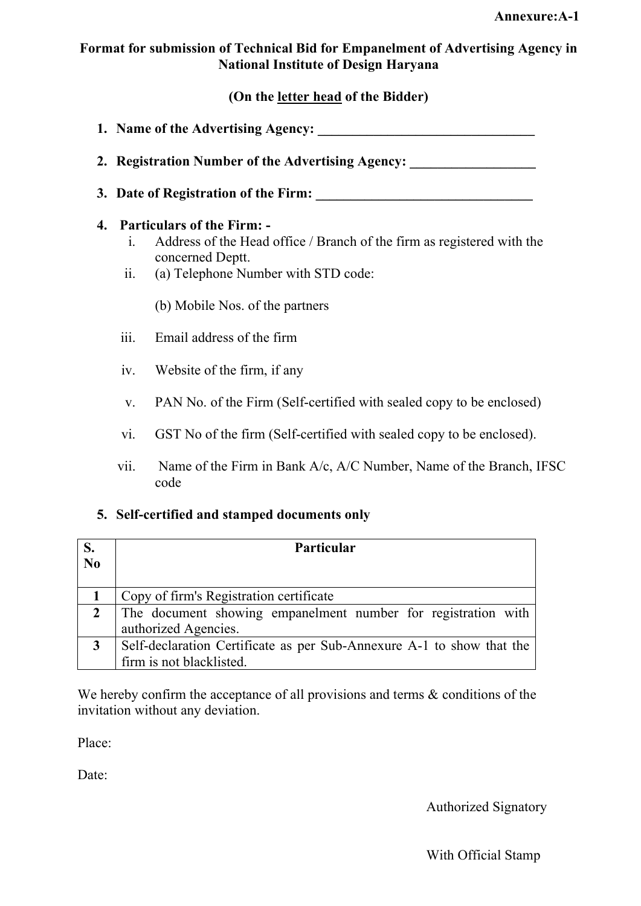#### **Format for submission of Technical Bid for Empanelment of Advertising Agency in National Institute of Design Haryana**

#### **(On the letter head of the Bidder)**

- **1. Name of the Advertising Agency: \_\_\_\_\_\_\_\_\_\_\_\_\_\_\_\_\_\_\_\_\_\_\_\_\_\_\_\_\_\_\_**
- 2. **Registration Number of the Advertising Agency:**
- **3. Date of Registration of the Firm: \_\_\_\_\_\_\_\_\_\_\_\_\_\_\_\_\_\_\_\_\_\_\_\_\_\_\_\_\_\_\_**

#### **4. Particulars of the Firm: -**

- i. Address of the Head office / Branch of the firm as registered with the concerned Deptt.
- ii. (a) Telephone Number with STD code:

(b) Mobile Nos. of the partners

- iii. Email address of the firm
- iv. Website of the firm, if any
- v. PAN No. of the Firm (Self-certified with sealed copy to be enclosed)
- vi. GST No of the firm (Self-certified with sealed copy to be enclosed).
- vii. Name of the Firm in Bank A/c, A/C Number, Name of the Branch, IFSC code

#### **5. Self-certified and stamped documents only**

| S.                     | <b>Particular</b>                                                     |  |  |  |  |  |  |
|------------------------|-----------------------------------------------------------------------|--|--|--|--|--|--|
| $\overline{\text{No}}$ |                                                                       |  |  |  |  |  |  |
|                        | Copy of firm's Registration certificate                               |  |  |  |  |  |  |
| $\mathbf{2}$           | The document showing empanelment number for registration with         |  |  |  |  |  |  |
|                        | authorized Agencies.                                                  |  |  |  |  |  |  |
| $\mathbf{3}$           | Self-declaration Certificate as per Sub-Annexure A-1 to show that the |  |  |  |  |  |  |
|                        | firm is not blacklisted.                                              |  |  |  |  |  |  |

We hereby confirm the acceptance of all provisions and terms  $\&$  conditions of the invitation without any deviation.

Place:

Date:

Authorized Signatory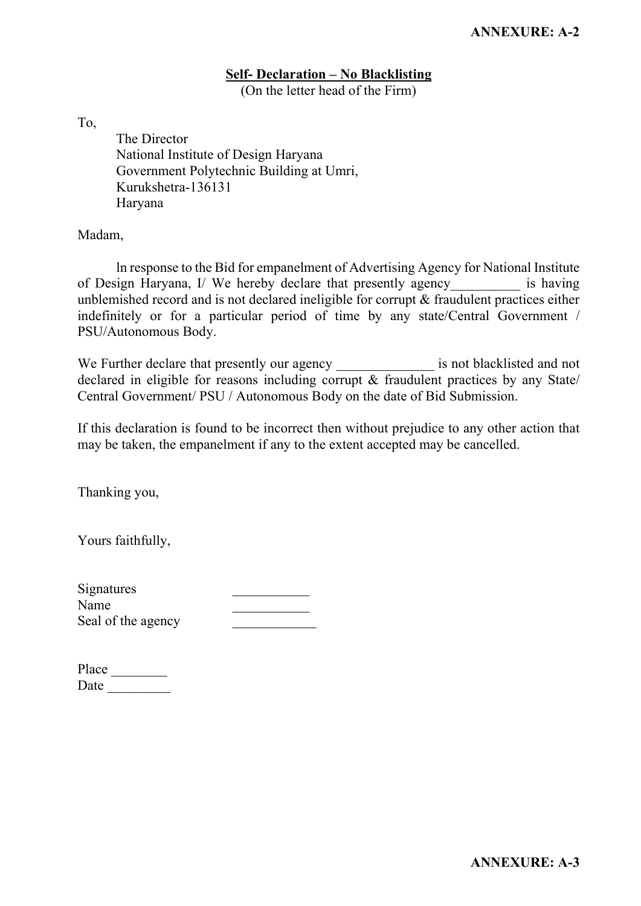#### **Self- Declaration – No Blacklisting**

(On the letter head of the Firm)

To,

The Director National Institute of Design Haryana Government Polytechnic Building at Umri, Kurukshetra-136131 Haryana

Madam,

ln response to the Bid for empanelment of Advertising Agency for National Institute of Design Haryana, I/ We hereby declare that presently agency is having unblemished record and is not declared ineligible for corrupt & fraudulent practices either indefinitely or for a particular period of time by any state/Central Government / PSU/Autonomous Body.

We Further declare that presently our agency is not blacklisted and not declared in eligible for reasons including corrupt  $\&$  fraudulent practices by any State/ Central Government/ PSU / Autonomous Body on the date of Bid Submission.

If this declaration is found to be incorrect then without prejudice to any other action that may be taken, the empanelment if any to the extent accepted may be cancelled.

Thanking you,

Yours faithfully,

| Signatures         |  |
|--------------------|--|
| Name               |  |
| Seal of the agency |  |

| Place |  |
|-------|--|
| Date  |  |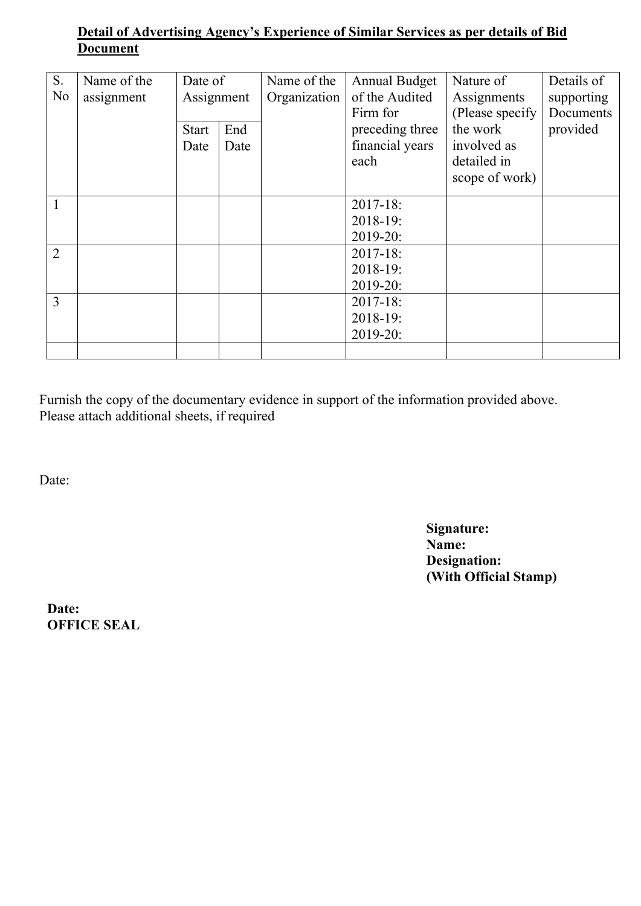# **Detail of Advertising Agency's Experience of Similar Services as per details of Bid Document**

| S.             | Name of the | Date of    |      | Name of the  | <b>Annual Budget</b> | Nature of        | Details of |
|----------------|-------------|------------|------|--------------|----------------------|------------------|------------|
| N <sub>o</sub> | assignment  | Assignment |      | Organization | of the Audited       | Assignments      | supporting |
|                |             |            |      |              | Firm for             | (Please specify) | Documents  |
|                |             | Start      | End  |              | preceding three      | the work         | provided   |
|                |             | Date       | Date |              | financial years      | involved as      |            |
|                |             |            |      |              | each                 | detailed in      |            |
|                |             |            |      |              |                      | scope of work)   |            |
|                |             |            |      |              | $2017 - 18$ :        |                  |            |
|                |             |            |      |              | $2018-19:$           |                  |            |
|                |             |            |      |              | 2019-20:             |                  |            |
| $\overline{2}$ |             |            |      |              | $2017 - 18$ :        |                  |            |
|                |             |            |      |              | $2018-19:$           |                  |            |
|                |             |            |      |              | 2019-20:             |                  |            |
| $\overline{3}$ |             |            |      |              | $2017 - 18:$         |                  |            |
|                |             |            |      |              | $2018-19:$           |                  |            |
|                |             |            |      |              | 2019-20:             |                  |            |
|                |             |            |      |              |                      |                  |            |

Furnish the copy of the documentary evidence in support of the information provided above. Please attach additional sheets, if required

Date:

**Signature: Name: Designation: (With Official Stamp)**

**Date: OFFICE SEAL**